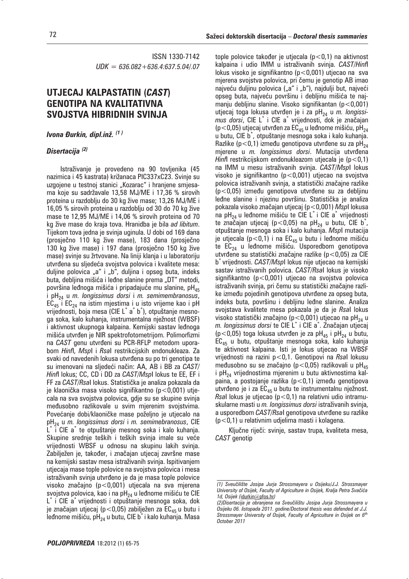ISSN 1330-7142 *UDK = 636.082+636.4:637.5.04/.07*

## **UTJECAJ KALPASTATIN (***CAST***) GENOTIPA NA KVALITATIVNA SVOJSTVA HIBRIDNIH SVINJA**

*Ivona Đurkin, dipl.inž.* <sup>(1)</sup>

## *Disertacija (2)*

Istraživanje je provedeno na 90 tovljenika (45 nazimica i 45 kastrata) križanaca PIC337xC23. Svinje su uzgojene u testnoj stanici "Kozarac" i hranjene smjesama koje su sadržavale 13,58 MJ/ME i 17,36 % sirovih proteina u razdoblju do 30 kg žive mase; 13,26 MJ/ME i 16,05 % sirovih proteina u razdoblju od 30 do 70 kg žive mase te 12,95 MJ/ME i 14,06 % sirovih proteina od 70 kg žive mase do kraja tova. Hranidba je bila *ad libitum*. Tijekom tova jedna je svinja uginula. U dobi od 169 dana (prosječno 110 kg žive mase), 183 dana (prosječno 130 kg žive mase) i 197 dana (prosječno 150 kg žive mase) svinje su žrtvovane. Na liniji klanja i u laboratoriju utvrđena su sljedeća svojstva polovica i kvalitete mesa: duljine polovica "a" i "b", duljina i opseg buta, indeks buta, deblijna mišića i leđne slanine prema "DT" metodi, površina leđnoga mišića i pripadajuće mu slanine, p $H_{45}$ i pH24 u *m. longissimus dorsi* i *m. semimembranosus*,  $EC_{45}$  i  $EC_{24}$  na istim mjestima i u isto vrijeme kao i pH vrijednosti, boja mesa (CIE L<sup>\*</sup> a<sup>\*</sup> b<sup>\*</sup>), otpuštanje mesnoga soka, kalo kuhanja, instrumentalna nježnost (WBSF) i aktivnost ukupnoga kalpaina. Kemijski sastav leđnoga mišića utvrđen je NIR spektrofotometrijom. Polimorfizmi na *CAST* genu utvrđeni su PCR-RFLP metodom uporabom *Hinf*I, *Msp*I i *Rsa*I restrikcijskih endonukleaza. Za svaki od navedenih lokusa utvrđena su po tri genotipa te su imenovani na sljedeći način: AA, AB i BB za *CAST*/ *Hinf*I lokus; CC, CD i DD za *CAST/Msp*I lokus te EE, EF i FF za *CAST/Rsal* lokus. Statistička je analiza pokazala da je klaonička masa visoko signifikantno ( $p < 0.001$ ) utjecala na sva svojstva polovica, gdje su se skupine svinja međusobno razlikovale u svim mjerenim svojstvima. Povećanje dobi/klaoničke mase poželjno je utjecalo na pH24 u *m. longissimus dorsi* i *m. semimebranosus*, CIE L\* i CIE a\* te otpuštanje mesnog soka i kalo kuhanja. Skupine srednje teških i teških svinja imale su veće vrijednosti WBSF u odnosu na skupinu lakih svinja. Zabilježen je, također, i značajan utjecaj završne mase na kemijski sastav mesa istraživanih svinja. Ispitivanjem utjecaja mase tople polovice na svojstva polovica i mesa istraživanih svinja utvrđeno je da je masa tople polovice visoko značajno  $(p<0,001)$  utjecala na sva mjerena svojstva polovica, kao i na p $H_{24}$  u leđnome mišiću te CIE L\* i CIE a\* vrijednosti i otpuštanje mesnoga soka, dok je značajan utjecaj (p<0,05) zabilježen za  $EC_{45}$  u butu i leđnome mišiću, pH<sub>24</sub> u butu, CIE b<sup>\*</sup> i kalo kuhanja. Masa

tople polovice također je utjecala ( $p < 0.1$ ) na aktivnost kalpaina i udio IMM u istraživanih svinja. *CAST*/*Hinf*I lokus visoko je signifikantno (p<0,001) utjecao na sva mjerena svojstva polovica, pri čemu je genotip AB imao najveću duljinu polovica ("a" i "b"), najdulji but, najveći opseg buta, najveću površinu i deblijnu mišića te najmanju debljinu slanine. Visoko signifikantan (p<0,001) utjecaj toga lokusa utvrđen je i za pH<sub>24</sub> u *m. longissi*mus dorsi, CIE L<sup>\*</sup> i CIE a<sup>\*</sup> vrijednosti, dok je značajan (p<0,05) utjecaj utvrđen za  $EC_{45}$  u leđnome mišiću, pH<sub>24</sub> u butu, CIE b\* , otpuštanje mesnoga soka i kalo kuhanja. Razlike (p<0,1) između genotipova utvrđene su za pH<sub>24</sub> mjerene u *m. longissimus dorsi*. Mutacija utvrđena *Hinf*I restrikcijskom endonukleazom utjecala je (p<0,1) na IMM u mesu istraživanih svinja. *CAST*/*Msp*I lokus visoko je signifikantno (p<0,001) utjecao na svojstva polovica istraživanih svinja, a statistički značajne razlike  $(p<0.05)$  između genotipova utvrđene su za debljinu leđne slanine i njezinu površinu. Statistička je analiza pokazala visoko značajan utjecaj (p<0,001) *MspI* lokusa na pH<sub>24</sub> u leđnome mišiću te CIE L<sup>\*</sup> i CIE a<sup>\*</sup> vrijednosti te značajan utjecaj (p<0,05) na pH<sub>24</sub> u butu, CIE b $^*$ , otpuštanje mesnoga soka i kalo kuhanja. *Msp*I mutacija je utjecala ( $p < 0,1$ ) i na EC<sub>45</sub> u butu i leđnome mišiću te  $EC_{24}$  u leđnome mišiću. Usporedbom genotipova utvrđene su statistički značajne razlike ( $p < 0.05$ ) za CIE b\* vrijednosti. *CAST*/*Msp*I lokus nije utjecao na kemijski sastav istraživanih polovica. *CAST*/*Rsa*I lokus je visoko signifikantno (p<0,001) utjecao na svojstva polovica istraživanih svinja, pri čemu su statistički značajne razlike između pojedinih genotipova utvrđene za opseg buta, indeks buta, površinu i debljinu leđne slanine. Analiza svojstava kvalitete mesa pokazala je da je *Rsa*I lokus visoko statistički značajno (p<0,001) utjecao na pH<sub>24</sub> u *m. longissimus dorsi* te CIE L<sup>\*</sup> i CIE a<sup>\*</sup>. Značajan utjecaj (p<0,05) toga lokusa utvrđen je za pH<sub>45</sub> i pH<sub>24</sub> u butu,  $EC_{45}$  u butu, otpuštanje mesnoga soka, kalo kuhanja te aktivnost kalpaina. Isti je lokus utjecao na WBSF vrijednosti na razini p<0,1. Genotipovi na *Rsa*I lokusu međusobno su se značajno (p<0,05) razlikovali u pH<sub>45</sub> i pH<sub>24</sub> vrijednostima mjerenim u butu aktivnostima kalpaina, a postojanje razlika  $(p<0,1)$  između genotipova utvrđeno je i za  $EC_{45}$  u butu te instrumentalnu nježnost. *Rsa*I lokus je utjecao (p<0,1) na relativni udio intramuskularne masti u *m. longissimus dorsi* istraživanih svinja, a usporedbom *CAST*/*Rsa*I genotipova utvrđene su razlike (p<0,1) u relativnim udjelima masti i kolagena.

Kliučne riječi: svinje, sastav trupa, kvaliteta mesa, *CAST* genotip

*<sup>(1)</sup> Sveu~ili{te Josipa Jurja Strossmayera u Osijeku/J.J. Strossmayer*  University of Osijek, Faculty of Agriculture in Osijek, Kralja Petra Svačića *1d, Osijek (*idurkin@pfos.hr*)* 

*<sup>(2)</sup>Disertacija je obranjena na Sveu~ili{tu Josipa Jurja Strossmayera u Osijeku 06. listopada 2011. godine/Doctoral thesis was defended at J.J. Strossmayer University of Osijek, Faculty of Agriculture in Osijek on 6th October 2011*